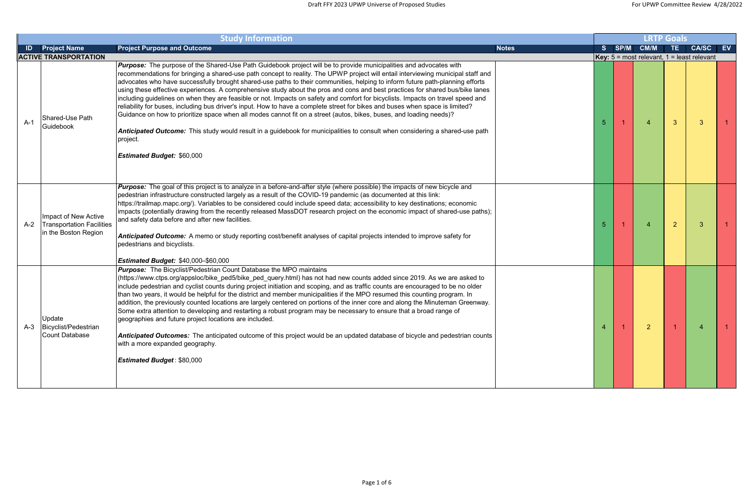|       |                                                                                  | <b>Study Information</b>                                                                                                                                                                                                                                                                                                                                                                                                                                                                                                                                                                                                                                                                                                                                                                                                                                                                                                                                                                                                                                                                                            |              | <b>LRTP Goals</b> |      |                |                |                                                       |  |
|-------|----------------------------------------------------------------------------------|---------------------------------------------------------------------------------------------------------------------------------------------------------------------------------------------------------------------------------------------------------------------------------------------------------------------------------------------------------------------------------------------------------------------------------------------------------------------------------------------------------------------------------------------------------------------------------------------------------------------------------------------------------------------------------------------------------------------------------------------------------------------------------------------------------------------------------------------------------------------------------------------------------------------------------------------------------------------------------------------------------------------------------------------------------------------------------------------------------------------|--------------|-------------------|------|----------------|----------------|-------------------------------------------------------|--|
| ID    | <b>Project Name</b>                                                              | <b>Project Purpose and Outcome</b>                                                                                                                                                                                                                                                                                                                                                                                                                                                                                                                                                                                                                                                                                                                                                                                                                                                                                                                                                                                                                                                                                  | <b>Notes</b> | S.                | SP/M | <b>CM/M</b>    | TE.            | <b>CA/SC</b><br>EV                                    |  |
|       | <b>ACTIVE TRANSPORTATION</b>                                                     |                                                                                                                                                                                                                                                                                                                                                                                                                                                                                                                                                                                                                                                                                                                                                                                                                                                                                                                                                                                                                                                                                                                     |              |                   |      |                |                | <b>Key:</b> $5 =$ most relevant, $1 =$ least relevant |  |
| $A-1$ | Shared-Use Path<br>Guidebook                                                     | <b>Purpose:</b> The purpose of the Shared-Use Path Guidebook project will be to provide municipalities and advocates with<br>recommendations for bringing a shared-use path concept to reality. The UPWP project will entail interviewing municipal staff and<br>advocates who have successfully brought shared-use paths to their communities, helping to inform future path-planning efforts<br>using these effective experiences. A comprehensive study about the pros and cons and best practices for shared bus/bike lanes<br>including guidelines on when they are feasible or not. Impacts on safety and comfort for bicyclists. Impacts on travel speed and<br>reliability for buses, including bus driver's input. How to have a complete street for bikes and buses when space is limited?<br>Guidance on how to prioritize space when all modes cannot fit on a street (autos, bikes, buses, and loading needs)?<br><b>Anticipated Outcome:</b> This study would result in a guidebook for municipalities to consult when considering a shared-use path<br>project.<br><b>Estimated Budget: \$60,000</b> |              | 5                 |      | $\overline{4}$ | $\mathbf{3}$   | -3                                                    |  |
| $A-2$ | Impact of New Active<br><b>Transportation Facilities</b><br>in the Boston Region | <b>Purpose:</b> The goal of this project is to analyze in a before-and-after style (where possible) the impacts of new bicycle and<br>pedestrian infrastructure constructed largely as a result of the COVID-19 pandemic (as documented at this link:<br>https://trailmap.mapc.org/). Variables to be considered could include speed data; accessibility to key destinations; economic<br>limpacts (potentially drawing from the recently released MassDOT research project on the economic impact of shared-use paths);<br>and safety data before and after new facilities.<br>Anticipated Outcome: A memo or study reporting cost/benefit analyses of capital projects intended to improve safety for<br>pedestrians and bicyclists.<br><b>Estimated Budget: \$40,000-\$60,000</b>                                                                                                                                                                                                                                                                                                                                |              | 5                 |      | $\overline{A}$ | $\overline{2}$ | -3                                                    |  |
| $A-3$ | Update<br>Bicyclist/Pedestrian<br><b>Count Database</b>                          | <b>Purpose:</b> The Bicyclist/Pedestrian Count Database the MPO maintains<br>(https://www.ctps.org/appsloc/bike_ped5/bike_ped_query.html) has not had new counts added since 2019. As we are asked to<br>include pedestrian and cyclist counts during project initiation and scoping, and as traffic counts are encouraged to be no older<br>than two years, it would be helpful for the district and member municipalities if the MPO resumed this counting program. In<br>addition, the previously counted locations are largely centered on portions of the inner core and along the Minuteman Greenway.<br>Some extra attention to developing and restarting a robust program may be necessary to ensure that a broad range of<br>geographies and future project locations are included.<br>Anticipated Outcomes: The anticipated outcome of this project would be an updated database of bicycle and pedestrian counts<br>with a more expanded geography.<br><b>Estimated Budget: \$80,000</b>                                                                                                                 |              | 4                 |      | $\overline{2}$ |                | -4                                                    |  |

| <b>LRTP Goals</b>       |                |                                                                   |                   |                         |                |  |  |  |  |  |  |  |
|-------------------------|----------------|-------------------------------------------------------------------|-------------------|-------------------------|----------------|--|--|--|--|--|--|--|
| $\overline{\mathbf{s}}$ | SP/M           | CM/M                                                              | TE<br><b>Side</b> | <b>CA/SC</b>            | <b>EV</b>      |  |  |  |  |  |  |  |
|                         |                | <b>Key:</b> $5 = \text{most relevant}, 1 = \text{least relevant}$ |                   |                         |                |  |  |  |  |  |  |  |
| $\overline{5}$          | $\overline{1}$ | $\overline{4}$                                                    | 3                 | $\mathbf{3}$            | $\overline{1}$ |  |  |  |  |  |  |  |
| $\sqrt{5}$              | $\overline{1}$ | $\overline{\mathbf{4}}$                                           | $\overline{2}$    | $\mathsf 3$             | $\overline{1}$ |  |  |  |  |  |  |  |
| $\overline{4}$          | $\overline{1}$ | $\overline{a}$                                                    | $\overline{1}$    | $\overline{\mathbf{4}}$ | $\overline{1}$ |  |  |  |  |  |  |  |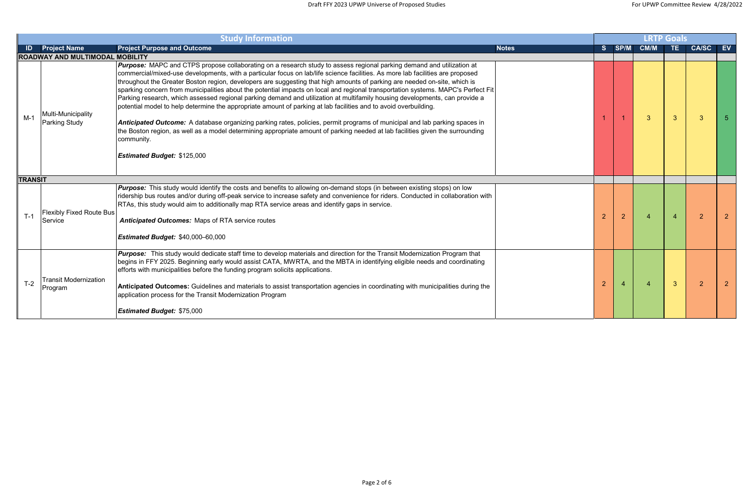|                | <b>Study Information</b>                   |                                                                                                                                                                                                                                                                                                                                                                                                                                                                                                                                                                                                                                                                                                                                                                                                                                                                                                                                                                                                                                                                                                                |              |                |                |                          |              | <b>LRTP Goals</b> |    |  |  |  |  |  |  |  |
|----------------|--------------------------------------------|----------------------------------------------------------------------------------------------------------------------------------------------------------------------------------------------------------------------------------------------------------------------------------------------------------------------------------------------------------------------------------------------------------------------------------------------------------------------------------------------------------------------------------------------------------------------------------------------------------------------------------------------------------------------------------------------------------------------------------------------------------------------------------------------------------------------------------------------------------------------------------------------------------------------------------------------------------------------------------------------------------------------------------------------------------------------------------------------------------------|--------------|----------------|----------------|--------------------------|--------------|-------------------|----|--|--|--|--|--|--|--|
| ID             | <b>Project Name</b>                        | <b>Project Purpose and Outcome</b>                                                                                                                                                                                                                                                                                                                                                                                                                                                                                                                                                                                                                                                                                                                                                                                                                                                                                                                                                                                                                                                                             | <b>Notes</b> | S.             | SP/M           | <b>CM/M</b>              | TE.          | <b>CA/SC</b>      | EV |  |  |  |  |  |  |  |
|                | ROADWAY AND MULTIMODAL MOBILITY            |                                                                                                                                                                                                                                                                                                                                                                                                                                                                                                                                                                                                                                                                                                                                                                                                                                                                                                                                                                                                                                                                                                                |              |                |                |                          |              |                   |    |  |  |  |  |  |  |  |
| $M-1$          | Multi-Municipality<br>Parking Study        | <b>Purpose:</b> MAPC and CTPS propose collaborating on a research study to assess regional parking demand and utilization at<br>commercial/mixed-use developments, with a particular focus on lab/life science facilities. As more lab facilities are proposed<br>throughout the Greater Boston region, developers are suggesting that high amounts of parking are needed on-site, which is<br>sparking concern from municipalities about the potential impacts on local and regional transportation systems. MAPC's Perfect Fit<br>Parking research, which assessed regional parking demand and utilization at multifamily housing developments, can provide a<br>potential model to help determine the appropriate amount of parking at lab facilities and to avoid overbuilding.<br><b>Anticipated Outcome:</b> A database organizing parking rates, policies, permit programs of municipal and lab parking spaces in<br>the Boston region, as well as a model determining appropriate amount of parking needed at lab facilities given the surrounding<br>community.<br><b>Estimated Budget: \$125,000</b> |              |                |                | $\overline{3}$           | $\mathbf{3}$ | 3                 |    |  |  |  |  |  |  |  |
| <b>TRANSIT</b> |                                            |                                                                                                                                                                                                                                                                                                                                                                                                                                                                                                                                                                                                                                                                                                                                                                                                                                                                                                                                                                                                                                                                                                                |              |                |                |                          |              |                   |    |  |  |  |  |  |  |  |
| $T-1$          | <b>Flexibly Fixed Route Bus</b><br>Service | <b>Purpose:</b> This study would identify the costs and benefits to allowing on-demand stops (in between existing stops) on low<br>ridership bus routes and/or during off-peak service to increase safety and convenience for riders. Conducted in collaboration with<br>RTAs, this study would aim to additionally map RTA service areas and identify gaps in service.<br><b>Anticipated Outcomes: Maps of RTA service routes</b><br><b>Estimated Budget: \$40,000-60,000</b>                                                                                                                                                                                                                                                                                                                                                                                                                                                                                                                                                                                                                                 |              | $\overline{2}$ | $\overline{2}$ | $\boldsymbol{\varDelta}$ |              | $\overline{2}$    |    |  |  |  |  |  |  |  |
| $T-2$          | <b>Transit Modernization</b><br>Program    | Purpose: This study would dedicate staff time to develop materials and direction for the Transit Modernization Program that<br>begins in FFY 2025. Beginning early would assist CATA, MWRTA, and the MBTA in identifying eligible needs and coordinating<br>efforts with municipalities before the funding program solicits applications.<br>Anticipated Outcomes: Guidelines and materials to assist transportation agencies in coordinating with municipalities during the<br>application process for the Transit Modernization Program<br><b>Estimated Budget: \$75,000</b>                                                                                                                                                                                                                                                                                                                                                                                                                                                                                                                                 |              | $\overline{2}$ |                | $\overline{4}$           | $\mathbf{3}$ | $\overline{2}$    |    |  |  |  |  |  |  |  |

|                         |                         |                         | <b>LRTP Goals</b>       |                |                 |
|-------------------------|-------------------------|-------------------------|-------------------------|----------------|-----------------|
| $\overline{\mathsf{s}}$ | SP/M                    | CM/M                    | TE                      | <b>CA/SC</b>   | $\overline{EV}$ |
|                         |                         |                         |                         |                |                 |
| $\overline{1}$          | $\overline{1}$          | 3                       | $\overline{3}$          | $\overline{3}$ | 5               |
|                         |                         |                         |                         |                |                 |
| $\overline{2}$          | $\overline{c}$          | $\overline{4}$          | $\overline{\mathbf{4}}$ | $\overline{2}$ | $\overline{2}$  |
| $\overline{a}$          | $\overline{\mathbf{4}}$ | $\overline{\mathbf{4}}$ | 3                       | $\overline{c}$ | $\overline{a}$  |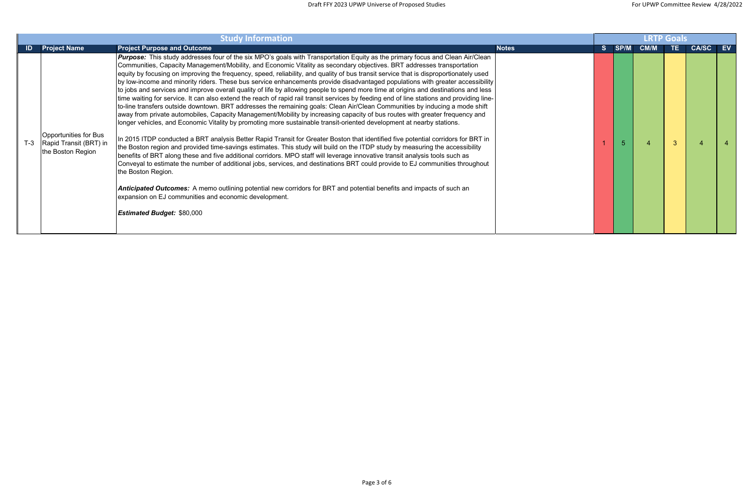|       |                                                                      | <b>LRTP Goals</b>                                                                                                                                                                                                                                                                                                                                                                                                                                                                                                                                                                                                                                                                                                                                                                                                                                                                                                                                                                                                                                                                                                                                                                                                                                                                                                                                                                                                                                                                                                                                                                                                                                                                                                                                                                                                                                                                                                                                                                               |              |    |             |             |     |              |    |
|-------|----------------------------------------------------------------------|-------------------------------------------------------------------------------------------------------------------------------------------------------------------------------------------------------------------------------------------------------------------------------------------------------------------------------------------------------------------------------------------------------------------------------------------------------------------------------------------------------------------------------------------------------------------------------------------------------------------------------------------------------------------------------------------------------------------------------------------------------------------------------------------------------------------------------------------------------------------------------------------------------------------------------------------------------------------------------------------------------------------------------------------------------------------------------------------------------------------------------------------------------------------------------------------------------------------------------------------------------------------------------------------------------------------------------------------------------------------------------------------------------------------------------------------------------------------------------------------------------------------------------------------------------------------------------------------------------------------------------------------------------------------------------------------------------------------------------------------------------------------------------------------------------------------------------------------------------------------------------------------------------------------------------------------------------------------------------------------------|--------------|----|-------------|-------------|-----|--------------|----|
| ID    | <b>Project Name</b>                                                  | <b>Project Purpose and Outcome</b>                                                                                                                                                                                                                                                                                                                                                                                                                                                                                                                                                                                                                                                                                                                                                                                                                                                                                                                                                                                                                                                                                                                                                                                                                                                                                                                                                                                                                                                                                                                                                                                                                                                                                                                                                                                                                                                                                                                                                              | <b>Notes</b> | S. | <b>SP/M</b> | <b>CM/M</b> | TE. | <b>CA/SC</b> | EV |
| $T-3$ | Opportunities for Bus<br>Rapid Transit (BRT) in<br>the Boston Region | Purpose: This study addresses four of the six MPO's goals with Transportation Equity as the primary focus and Clean Air/Clean<br>Communities, Capacity Management/Mobility, and Economic Vitality as secondary objectives. BRT addresses transportation<br>equity by focusing on improving the frequency, speed, reliability, and quality of bus transit service that is disproportionately used<br>by low-income and minority riders. These bus service enhancements provide disadvantaged populations with greater accessibility<br>to jobs and services and improve overall quality of life by allowing people to spend more time at origins and destinations and less<br>time waiting for service. It can also extend the reach of rapid rail transit services by feeding end of line stations and providing line-<br>to-line transfers outside downtown. BRT addresses the remaining goals: Clean Air/Clean Communities by inducing a mode shift<br>away from private automobiles, Capacity Management/Mobility by increasing capacity of bus routes with greater frequency and<br>longer vehicles, and Economic Vitality by promoting more sustainable transit-oriented development at nearby stations.<br>n 2015 ITDP conducted a BRT analysis Better Rapid Transit for Greater Boston that identified five potential corridors for BRT in<br>the Boston region and provided time-savings estimates. This study will build on the ITDP study by measuring the accessibility<br>benefits of BRT along these and five additional corridors. MPO staff will leverage innovative transit analysis tools such as<br>Conveyal to estimate the number of additional jobs, services, and destinations BRT could provide to EJ communities throughout<br>the Boston Region.<br>Anticipated Outcomes: A memo outlining potential new corridors for BRT and potential benefits and impacts of such an<br>expansion on EJ communities and economic development.<br><b>Estimated Budget: \$80,000</b> |              |    |             |             | 3   |              |    |

| CM/M<br>TE.<br><b>CA/SC</b><br>SP/M<br>$\mathbf S$                        | $E$ V                   |
|---------------------------------------------------------------------------|-------------------------|
|                                                                           |                         |
| $\overline{1}$<br>$\overline{4}$<br>3<br>$\overline{4}$<br>$\overline{5}$ | $\overline{\mathbf{4}}$ |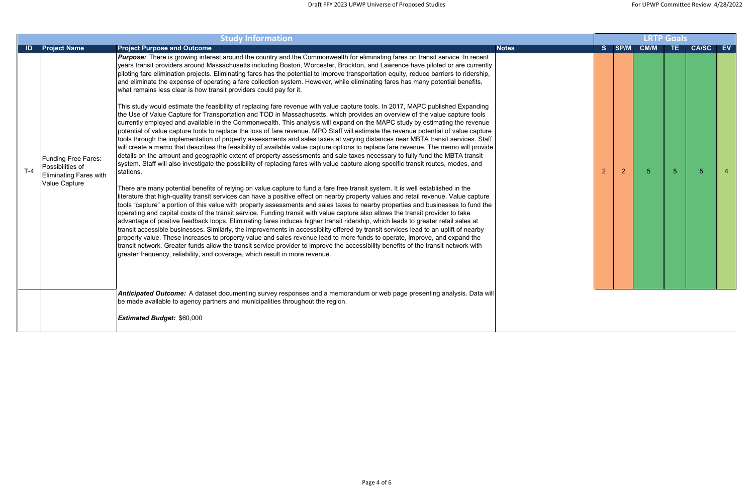|       |                                                                                                  | <b>LRTP Goals</b>                                                                                                                                                                                                                                                                                                                                                                                                                                                                                                                                                                                                                                                                                                                                                                                                                                                                                                                                                                                                                                                                                                                                                                                                                                                                                                                                                                                                                                                                                                                                                                                                                                                                                                                                                                                                                                                                                                                                                                                                                                                                                                                                                                                                                                                                                                                                                                                                                                                                                                                                                                                                                                                                                                                                                                                                                                                                                                                                                                                                                      |              |                |      |                |                |              |           |
|-------|--------------------------------------------------------------------------------------------------|----------------------------------------------------------------------------------------------------------------------------------------------------------------------------------------------------------------------------------------------------------------------------------------------------------------------------------------------------------------------------------------------------------------------------------------------------------------------------------------------------------------------------------------------------------------------------------------------------------------------------------------------------------------------------------------------------------------------------------------------------------------------------------------------------------------------------------------------------------------------------------------------------------------------------------------------------------------------------------------------------------------------------------------------------------------------------------------------------------------------------------------------------------------------------------------------------------------------------------------------------------------------------------------------------------------------------------------------------------------------------------------------------------------------------------------------------------------------------------------------------------------------------------------------------------------------------------------------------------------------------------------------------------------------------------------------------------------------------------------------------------------------------------------------------------------------------------------------------------------------------------------------------------------------------------------------------------------------------------------------------------------------------------------------------------------------------------------------------------------------------------------------------------------------------------------------------------------------------------------------------------------------------------------------------------------------------------------------------------------------------------------------------------------------------------------------------------------------------------------------------------------------------------------------------------------------------------------------------------------------------------------------------------------------------------------------------------------------------------------------------------------------------------------------------------------------------------------------------------------------------------------------------------------------------------------------------------------------------------------------------------------------------------------|--------------|----------------|------|----------------|----------------|--------------|-----------|
|       | <b>ID</b> Project Name                                                                           | <b>Project Purpose and Outcome</b>                                                                                                                                                                                                                                                                                                                                                                                                                                                                                                                                                                                                                                                                                                                                                                                                                                                                                                                                                                                                                                                                                                                                                                                                                                                                                                                                                                                                                                                                                                                                                                                                                                                                                                                                                                                                                                                                                                                                                                                                                                                                                                                                                                                                                                                                                                                                                                                                                                                                                                                                                                                                                                                                                                                                                                                                                                                                                                                                                                                                     | <b>Notes</b> | S.             | SP/M | <b>CM/M</b>    | TE.            | <b>CA/SC</b> | <b>EV</b> |
| $T-4$ | <b>Funding Free Fares:</b><br>Possibilities of<br><b>Eliminating Fares with</b><br>Value Capture | Purpose: There is growing interest around the country and the Commonwealth for eliminating fares on transit service. In recent<br>years transit providers around Massachusetts including Boston, Worcester, Brockton, and Lawrence have piloted or are currently<br>piloting fare elimination projects. Eliminating fares has the potential to improve transportation equity, reduce barriers to ridership,<br>and eliminate the expense of operating a fare collection system. However, while eliminating fares has many potential benefits,<br>what remains less clear is how transit providers could pay for it.<br>This study would estimate the feasibility of replacing fare revenue with value capture tools. In 2017, MAPC published Expanding<br>the Use of Value Capture for Transportation and TOD in Massachusetts, which provides an overview of the value capture tools<br>currently employed and available in the Commonwealth. This analysis will expand on the MAPC study by estimating the revenue<br>potential of value capture tools to replace the loss of fare revenue. MPO Staff will estimate the revenue potential of value capture<br>tools through the implementation of property assessments and sales taxes at varying distances near MBTA transit services. Staff<br>will create a memo that describes the feasibility of available value capture options to replace fare revenue. The memo will provide<br>details on the amount and geographic extent of property assessments and sale taxes necessary to fully fund the MBTA transit<br>system. Staff will also investigate the possibility of replacing fares with value capture along specific transit routes, modes, and<br>stations.<br>There are many potential benefits of relying on value capture to fund a fare free transit system. It is well established in the<br>literature that high-quality transit services can have a positive effect on nearby property values and retail revenue. Value capture<br>tools "capture" a portion of this value with property assessments and sales taxes to nearby properties and businesses to fund the<br>operating and capital costs of the transit service. Funding transit with value capture also allows the transit provider to take<br>advantage of positive feedback loops. Eliminating fares induces higher transit ridership, which leads to greater retail sales at<br>transit accessible businesses. Similarly, the improvements in accessibility offered by transit services lead to an uplift of nearby<br>property value. These increases to property value and sales revenue lead to more funds to operate, improve, and expand the<br>transit network. Greater funds allow the transit service provider to improve the accessibility benefits of the transit network with<br>greater frequency, reliability, and coverage, which result in more revenue.<br>Anticipated Outcome: A dataset documenting survey responses and a memorandum or web page presenting analysis. Data will |              | $\overline{2}$ | 2    | 5 <sup>5</sup> | 5 <sup>5</sup> | -5           |           |
|       |                                                                                                  | be made available to agency partners and municipalities throughout the region.                                                                                                                                                                                                                                                                                                                                                                                                                                                                                                                                                                                                                                                                                                                                                                                                                                                                                                                                                                                                                                                                                                                                                                                                                                                                                                                                                                                                                                                                                                                                                                                                                                                                                                                                                                                                                                                                                                                                                                                                                                                                                                                                                                                                                                                                                                                                                                                                                                                                                                                                                                                                                                                                                                                                                                                                                                                                                                                                                         |              |                |      |                |                |              |           |
|       |                                                                                                  | <b>Estimated Budget: \$60,000</b>                                                                                                                                                                                                                                                                                                                                                                                                                                                                                                                                                                                                                                                                                                                                                                                                                                                                                                                                                                                                                                                                                                                                                                                                                                                                                                                                                                                                                                                                                                                                                                                                                                                                                                                                                                                                                                                                                                                                                                                                                                                                                                                                                                                                                                                                                                                                                                                                                                                                                                                                                                                                                                                                                                                                                                                                                                                                                                                                                                                                      |              |                |      |                |                |              |           |
|       |                                                                                                  |                                                                                                                                                                                                                                                                                                                                                                                                                                                                                                                                                                                                                                                                                                                                                                                                                                                                                                                                                                                                                                                                                                                                                                                                                                                                                                                                                                                                                                                                                                                                                                                                                                                                                                                                                                                                                                                                                                                                                                                                                                                                                                                                                                                                                                                                                                                                                                                                                                                                                                                                                                                                                                                                                                                                                                                                                                                                                                                                                                                                                                        |              |                |      |                |                |              |           |

| <b>LRTP Goals</b>       |                |      |                |              |                         |  |  |  |  |  |  |  |
|-------------------------|----------------|------|----------------|--------------|-------------------------|--|--|--|--|--|--|--|
| $\overline{\mathsf{s}}$ | SP/M           | CM/M | TE             | <b>CA/SC</b> | $\overline{EV}$         |  |  |  |  |  |  |  |
|                         |                |      |                |              |                         |  |  |  |  |  |  |  |
|                         |                |      |                |              |                         |  |  |  |  |  |  |  |
|                         |                |      |                |              |                         |  |  |  |  |  |  |  |
|                         |                |      |                |              |                         |  |  |  |  |  |  |  |
|                         |                |      |                |              |                         |  |  |  |  |  |  |  |
|                         |                |      |                |              |                         |  |  |  |  |  |  |  |
|                         |                |      |                |              |                         |  |  |  |  |  |  |  |
| $\overline{2}$          | $\overline{2}$ | 5    | $\overline{5}$ | 5            | $\overline{\mathbf{4}}$ |  |  |  |  |  |  |  |
|                         |                |      |                |              |                         |  |  |  |  |  |  |  |
|                         |                |      |                |              |                         |  |  |  |  |  |  |  |
|                         |                |      |                |              |                         |  |  |  |  |  |  |  |
|                         |                |      |                |              |                         |  |  |  |  |  |  |  |
|                         |                |      |                |              |                         |  |  |  |  |  |  |  |
|                         |                |      |                |              |                         |  |  |  |  |  |  |  |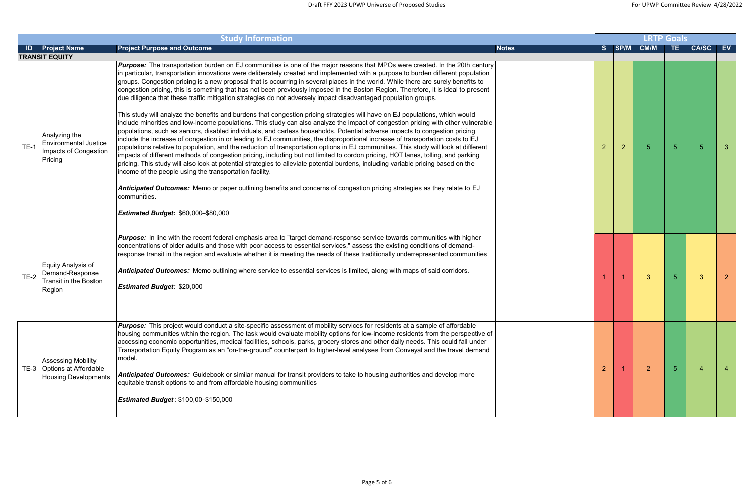|        |                                                                                        |                                                                                                                                                                                                                                                                                                                                                                                                                                                                                                                                                                                                                                                                                                                                                                                                                                                                                                                                                                                                                                                                                                                                                                                                                                                                                                                                                                                                                                                                                                                                                                                                                                                                                                                                                                                                                                                                                      | <b>LRTP Goals</b> |                |                |                |                |              |    |
|--------|----------------------------------------------------------------------------------------|--------------------------------------------------------------------------------------------------------------------------------------------------------------------------------------------------------------------------------------------------------------------------------------------------------------------------------------------------------------------------------------------------------------------------------------------------------------------------------------------------------------------------------------------------------------------------------------------------------------------------------------------------------------------------------------------------------------------------------------------------------------------------------------------------------------------------------------------------------------------------------------------------------------------------------------------------------------------------------------------------------------------------------------------------------------------------------------------------------------------------------------------------------------------------------------------------------------------------------------------------------------------------------------------------------------------------------------------------------------------------------------------------------------------------------------------------------------------------------------------------------------------------------------------------------------------------------------------------------------------------------------------------------------------------------------------------------------------------------------------------------------------------------------------------------------------------------------------------------------------------------------|-------------------|----------------|----------------|----------------|----------------|--------------|----|
| ID.    | <b>Project Name</b>                                                                    | <b>Project Purpose and Outcome</b>                                                                                                                                                                                                                                                                                                                                                                                                                                                                                                                                                                                                                                                                                                                                                                                                                                                                                                                                                                                                                                                                                                                                                                                                                                                                                                                                                                                                                                                                                                                                                                                                                                                                                                                                                                                                                                                   | <b>Notes</b>      | S.             | SP/M           | <b>CM/M</b>    | TE.            | <b>CA/SC</b> | EV |
|        | <b>TRANSIT EQUITY</b>                                                                  |                                                                                                                                                                                                                                                                                                                                                                                                                                                                                                                                                                                                                                                                                                                                                                                                                                                                                                                                                                                                                                                                                                                                                                                                                                                                                                                                                                                                                                                                                                                                                                                                                                                                                                                                                                                                                                                                                      |                   |                |                |                |                |              |    |
| $TE-1$ | Analyzing the<br><b>Environmental Justice</b><br>Impacts of Congestion<br>Pricing      | <b>Purpose:</b> The transportation burden on EJ communities is one of the major reasons that MPOs were created. In the 20th century<br>in particular, transportation innovations were deliberately created and implemented with a purpose to burden different population<br>groups. Congestion pricing is a new proposal that is occurring in several places in the world. While there are surely benefits to<br>congestion pricing, this is something that has not been previously imposed in the Boston Region. Therefore, it is ideal to present<br>due diligence that these traffic mitigation strategies do not adversely impact disadvantaged population groups.<br>This study will analyze the benefits and burdens that congestion pricing strategies will have on EJ populations, which would<br>include minorities and low-income populations. This study can also analyze the impact of congestion pricing with other vulnerable<br>populations, such as seniors, disabled individuals, and carless households. Potential adverse impacts to congestion pricing<br>include the increase of congestion in or leading to EJ communities, the disproportional increase of transportation costs to EJ<br>populations relative to population, and the reduction of transportation options in EJ communities. This study will look at different<br>impacts of different methods of congestion pricing, including but not limited to cordon pricing, HOT lanes, tolling, and parking<br>pricing. This study will also look at potential strategies to alleviate potential burdens, including variable pricing based on the<br>income of the people using the transportation facility.<br>Anticipated Outcomes: Memo or paper outlining benefits and concerns of congestion pricing strategies as they relate to EJ<br>communities.<br><b>Estimated Budget: \$60,000-\$80,000</b> |                   | $\overline{2}$ | $\overline{2}$ | $5\phantom{.}$ | 5 <sup>5</sup> | 5            |    |
| $TE-2$ | Equity Analysis of<br>Demand-Response<br><b>Transit in the Boston</b><br>Region        | Purpose: In line with the recent federal emphasis area to "target demand-response service towards communities with higher<br>concentrations of older adults and those with poor access to essential services," assess the existing conditions of demand-<br>response transit in the region and evaluate whether it is meeting the needs of these traditionally underrepresented communities<br>Anticipated Outcomes: Memo outlining where service to essential services is limited, along with maps of said corridors.<br><b>Estimated Budget: \$20,000</b>                                                                                                                                                                                                                                                                                                                                                                                                                                                                                                                                                                                                                                                                                                                                                                                                                                                                                                                                                                                                                                                                                                                                                                                                                                                                                                                          |                   |                |                | $\mathbf{3}$   | 5 <sup>5</sup> | 3            |    |
|        | <b>Assessing Mobility</b><br>TE-3 Options at Affordable<br><b>Housing Developments</b> | <b>Purpose:</b> This project would conduct a site-specific assessment of mobility services for residents at a sample of affordable<br>housing communities within the region. The task would evaluate mobility options for low-income residents from the perspective of<br>accessing economic opportunities, medical facilities, schools, parks, grocery stores and other daily needs. This could fall under<br>Transportation Equity Program as an "on-the-ground" counterpart to higher-level analyses from Conveyal and the travel demand<br>model.<br>Anticipated Outcomes: Guidebook or similar manual for transit providers to take to housing authorities and develop more<br>equitable transit options to and from affordable housing communities<br><b>Estimated Budget: \$100,00-\$150,000</b>                                                                                                                                                                                                                                                                                                                                                                                                                                                                                                                                                                                                                                                                                                                                                                                                                                                                                                                                                                                                                                                                              |                   | $\overline{2}$ |                | $\overline{2}$ | 5 <sup>1</sup> |              |    |

| <b>LRTP Goals</b><br>CM/M TE |                |                |                |                         |                         |  |  |  |  |  |  |  |
|------------------------------|----------------|----------------|----------------|-------------------------|-------------------------|--|--|--|--|--|--|--|
| $\overline{\mathsf{s}}$      | SP/M           |                |                | <b>CA/SC</b>            | $E$ V                   |  |  |  |  |  |  |  |
|                              |                |                |                |                         |                         |  |  |  |  |  |  |  |
| $\overline{a}$               | $\overline{c}$ | 5              | 5              | 5                       | 3                       |  |  |  |  |  |  |  |
| $\overline{1}$               | $\overline{1}$ | $\overline{3}$ | $\overline{5}$ | $\overline{3}$          | $\overline{c}$          |  |  |  |  |  |  |  |
| $\overline{a}$               | $\overline{1}$ | $\overline{a}$ | $\overline{5}$ | $\overline{\mathbf{4}}$ | $\overline{\mathbf{4}}$ |  |  |  |  |  |  |  |